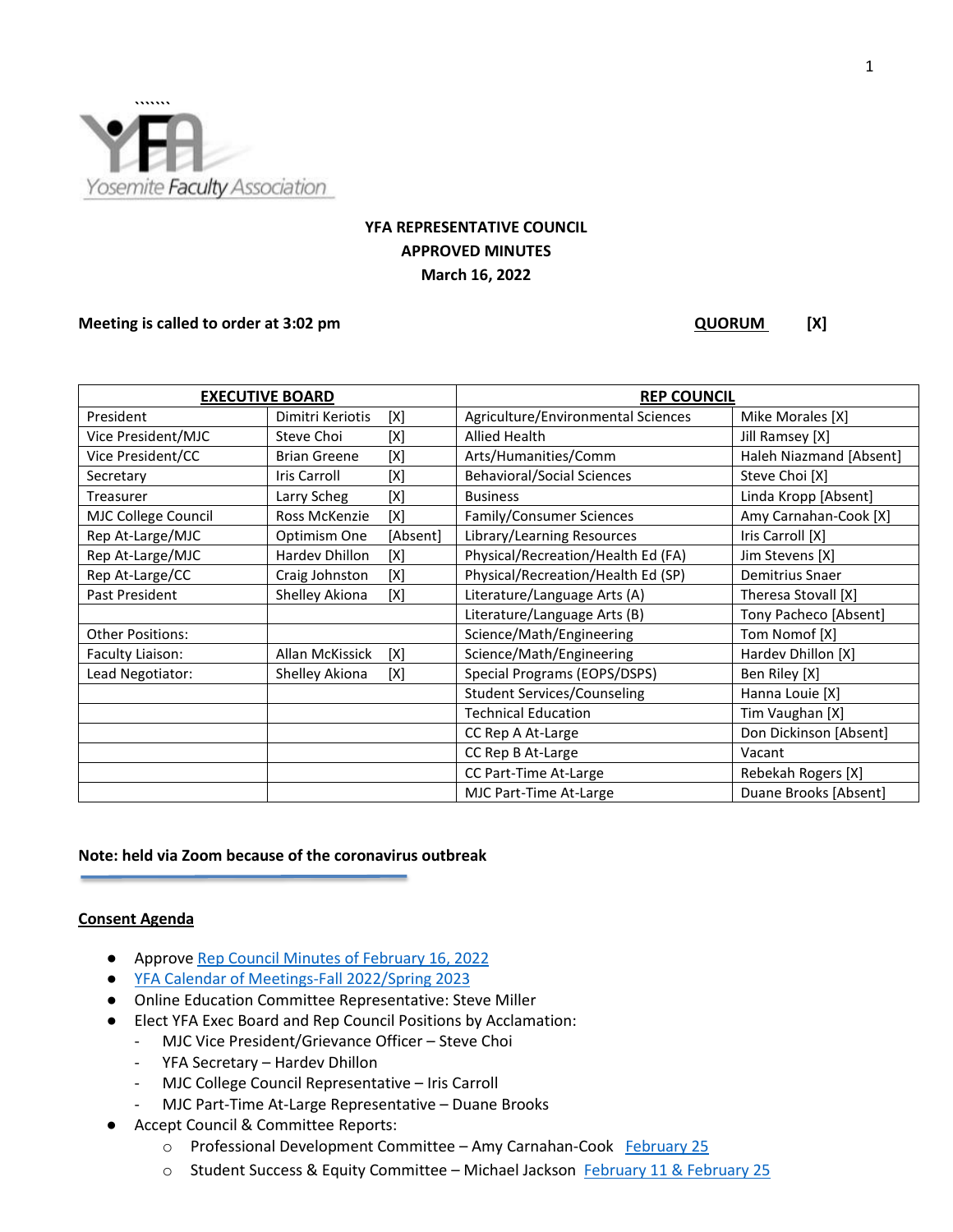

# **YFA REPRESENTATIVE COUNCIL APPROVED MINUTES March 16, 2022**

# **Meeting is called to order at 3:02 pm** (X) **QUORUM**(X)

| <b>EXECUTIVE BOARD</b>  |                     |          | <b>REP COUNCIL</b>                 |                         |
|-------------------------|---------------------|----------|------------------------------------|-------------------------|
| President               | Dimitri Keriotis    | [X]      | Agriculture/Environmental Sciences | Mike Morales [X]        |
| Vice President/MJC      | Steve Choi          | [X]      | <b>Allied Health</b>               | Jill Ramsey [X]         |
| Vice President/CC       | <b>Brian Greene</b> | [X]      | Arts/Humanities/Comm               | Haleh Niazmand [Absent] |
| Secretary               | <b>Iris Carroll</b> | [X]      | <b>Behavioral/Social Sciences</b>  | Steve Choi [X]          |
| Treasurer               | Larry Scheg         | [X]      | <b>Business</b>                    | Linda Kropp [Absent]    |
| MJC College Council     | Ross McKenzie       | [X]      | Family/Consumer Sciences           | Amy Carnahan-Cook [X]   |
| Rep At-Large/MJC        | Optimism One        | [Absent] | Library/Learning Resources         | Iris Carroll [X]        |
| Rep At-Large/MJC        | Hardev Dhillon      | [X]      | Physical/Recreation/Health Ed (FA) | Jim Stevens [X]         |
| Rep At-Large/CC         | Craig Johnston      | [X]      | Physical/Recreation/Health Ed (SP) | Demitrius Snaer         |
| Past President          | Shelley Akiona      | [X]      | Literature/Language Arts (A)       | Theresa Stovall [X]     |
|                         |                     |          | Literature/Language Arts (B)       | Tony Pacheco [Absent]   |
| <b>Other Positions:</b> |                     |          | Science/Math/Engineering           | Tom Nomof [X]           |
| Faculty Liaison:        | Allan McKissick     | [X]      | Science/Math/Engineering           | Hardev Dhillon [X]      |
| Lead Negotiator:        | Shelley Akiona      | [X]      | Special Programs (EOPS/DSPS)       | Ben Riley [X]           |
|                         |                     |          | <b>Student Services/Counseling</b> | Hanna Louie [X]         |
|                         |                     |          | <b>Technical Education</b>         | Tim Vaughan [X]         |
|                         |                     |          | CC Rep A At-Large                  | Don Dickinson [Absent]  |
|                         |                     |          | CC Rep B At-Large                  | Vacant                  |
|                         |                     |          | CC Part-Time At-Large              | Rebekah Rogers [X]      |
|                         |                     |          | MJC Part-Time At-Large             | Duane Brooks [Absent]   |

# **Note: held via Zoom because of the coronavirus outbreak**

### **Consent Agenda**

- Approve [Rep Council Minutes of February 16, 2022](https://docs.google.com/document/d/1muXCnhNi-gAKKLSeSczbhIPggZiWFzcZvcdxvUdJmmE/edit?usp=sharing)
- [YFA Calendar of Meetings-Fall 2022/Spring 2023](https://docs.google.com/document/d/1ECkfNrBdMLi8yb1Pb9-Ab0kdDrB6JpFPO9cFnqL83aY/edit?usp=sharing)
- Online Education Committee Representative: Steve Miller
- Elect YFA Exec Board and Rep Council Positions by Acclamation:
	- MJC Vice President/Grievance Officer Steve Choi
	- YFA Secretary Hardev Dhillon
	- MJC College Council Representative Iris Carroll
	- MJC Part-Time At-Large Representative Duane Brooks
- Accept Council & Committee Reports:
	- o Professional Development Committee Amy Carnahan-Cook [February 25](https://docs.google.com/document/d/1IrYMGlSvCQ8OMhCBP5uEqnFAaopOHuW07zN3davo8KU/edit?usp=sharing)
	- o Student Success & Equity Committee Michael Jackson [February 11 & February 25](https://docs.google.com/document/d/1oa7X7-2I0WnMY-ne560AGnhpKGXLkiJfqjBzByfoW1k/edit?usp=sharing)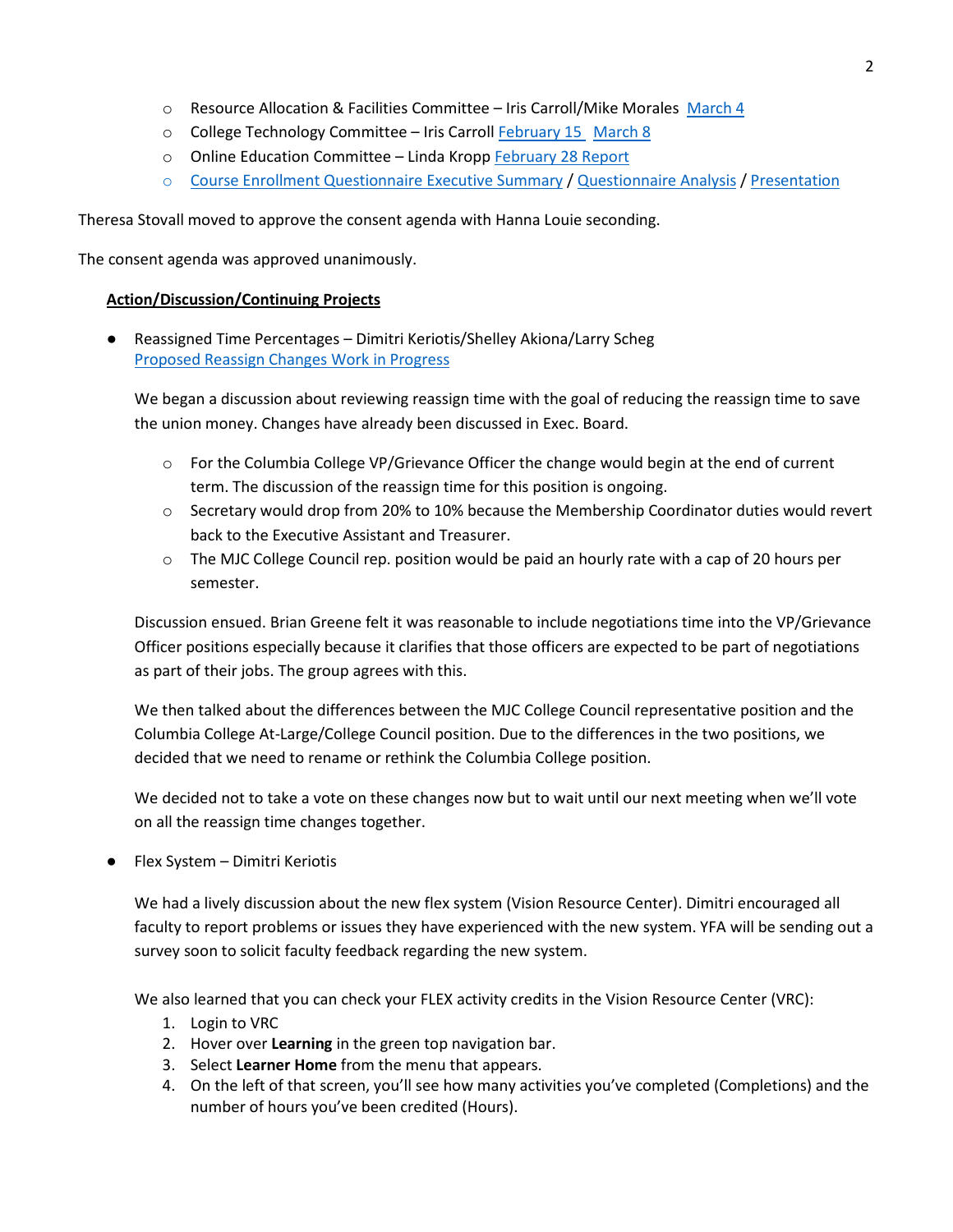- $\circ$  Resource Allocation & Facilities Committee Iris Carroll/Mike Morales [March 4](https://docs.google.com/document/d/11AenK5V8SvNln4mFViPLAY7HSnBBDi3aU21SdfEKMYs/edit?usp=sharing)
- o College Technology Committee Iris Carroll [February 15](https://docs.google.com/document/d/1rwE6EOv32Cp30UhwPnyrMfTOT2rUaQVkNxzqPW5_zR4/edit?usp=sharing) [March 8](https://docs.google.com/document/d/1X3D9Z8ULige5GIonOBcLsbWnxJfENa_eAHPAQbSPmbw/edit?usp=sharing)
- o Online Education Committee Linda Kropp [February 28 Report](https://drive.google.com/file/d/1OPlLwvIGnG4SkhAny1rMdmtaau72bYIy/view?usp=sharing)
- $\circ$  [Course Enrollment Questionnaire Executive Summary](https://drive.google.com/file/d/1iuRlQIA69LwPIhSltVjyTxIDsheiJhgm/view?usp=sharing) / [Questionnaire Analysis](https://drive.google.com/file/d/1GFIHWRBHMtGuAOayRboFzDK1bkJ8CRGZ/view?usp=sharing) [/ Presentation](https://drive.google.com/file/d/1arv1k06V9pxN77eAgKRHdJF8T530sTdy/view?usp=sharing)

Theresa Stovall moved to approve the consent agenda with Hanna Louie seconding.

The consent agenda was approved unanimously.

# **Action/Discussion/Continuing Projects**

● Reassigned Time Percentages – Dimitri Keriotis/Shelley Akiona/Larry Scheg [Proposed Reassign Changes Work in Progress](https://docs.google.com/document/d/1f-KgvCECHzwQFq3RX_dV630zoi0O_gVbpVKAZam4jic/edit?usp=sharing)

We began a discussion about reviewing reassign time with the goal of reducing the reassign time to save the union money. Changes have already been discussed in Exec. Board.

- $\circ$  For the Columbia College VP/Grievance Officer the change would begin at the end of current term. The discussion of the reassign time for this position is ongoing.
- o Secretary would drop from 20% to 10% because the Membership Coordinator duties would revert back to the Executive Assistant and Treasurer.
- $\circ$  The MJC College Council rep. position would be paid an hourly rate with a cap of 20 hours per semester.

Discussion ensued. Brian Greene felt it was reasonable to include negotiations time into the VP/Grievance Officer positions especially because it clarifies that those officers are expected to be part of negotiations as part of their jobs. The group agrees with this.

We then talked about the differences between the MJC College Council representative position and the Columbia College At-Large/College Council position. Due to the differences in the two positions, we decided that we need to rename or rethink the Columbia College position.

We decided not to take a vote on these changes now but to wait until our next meeting when we'll vote on all the reassign time changes together.

● Flex System – Dimitri Keriotis

We had a lively discussion about the new flex system (Vision Resource Center). Dimitri encouraged all faculty to report problems or issues they have experienced with the new system. YFA will be sending out a survey soon to solicit faculty feedback regarding the new system.

We also learned that you can check your FLEX activity credits in the Vision Resource Center (VRC):

- 1. Login to VRC
- 2. Hover over **Learning** in the green top navigation bar.
- 3. Select **Learner Home** from the menu that appears.
- 4. On the left of that screen, you'll see how many activities you've completed (Completions) and the number of hours you've been credited (Hours).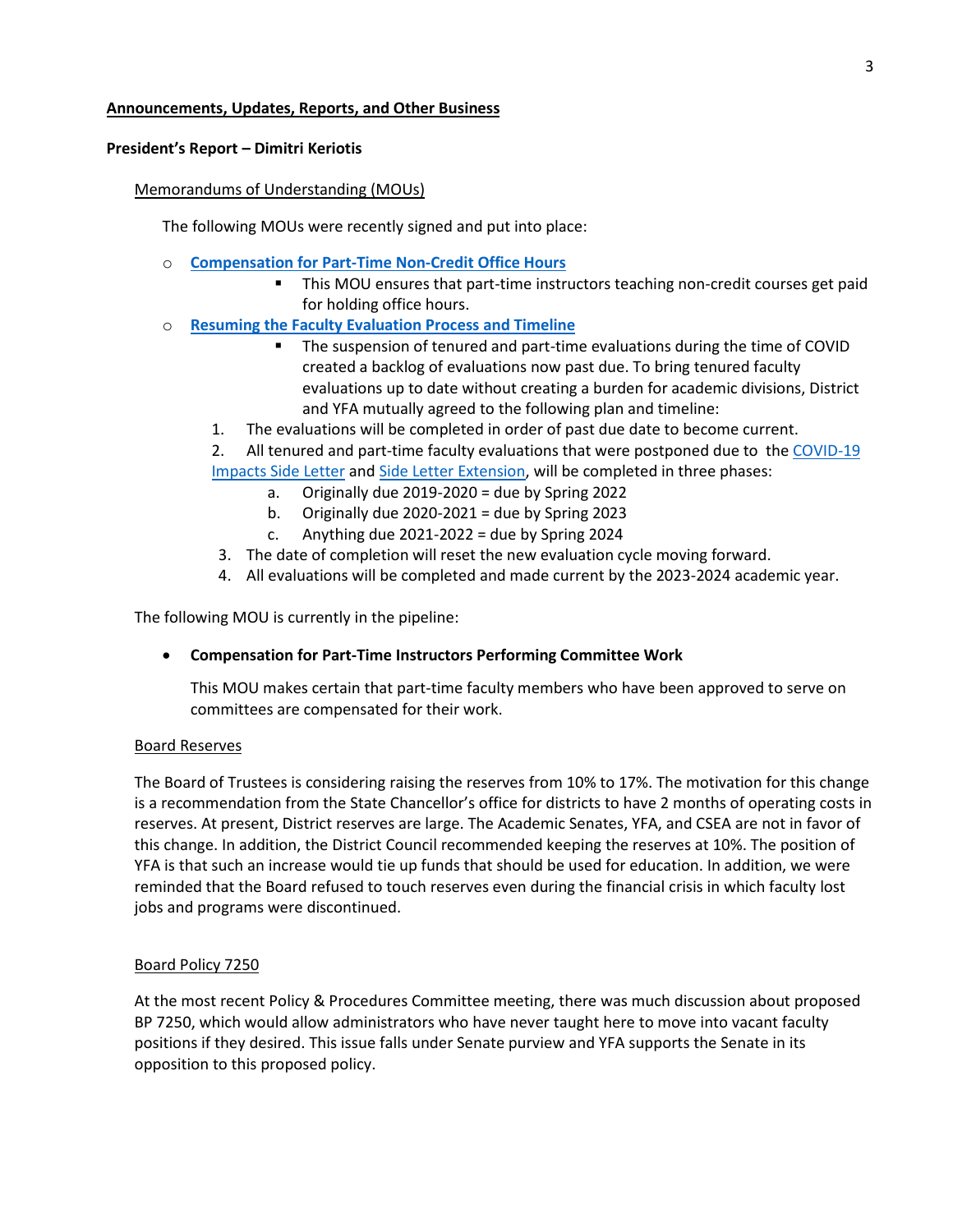# **Announcements, Updates, Reports, and Other Business**

# **President's Report – Dimitri Keriotis**

# Memorandums of Understanding (MOUs)

The following MOUs were recently signed and put into place:

- o **[Compensation for Part-Time Non-Credit Office Hours](https://www.yosemitefaculty.org/_files/ugd/4103ff_053e9e96d857467ba9fce919ff403454.pdf)**
	- This MOU ensures that part-time instructors teaching non-credit courses get paid for holding office hours.
- o **[Resuming the Faculty Evaluation Process and Timeline](https://www.yosemitefaculty.org/_files/ugd/4103ff_76ce3c63ff8940579525c510e71fb6e5.pdf)**
	- The suspension of tenured and part-time evaluations during the time of COVID created a backlog of evaluations now past due. To bring tenured faculty evaluations up to date without creating a burden for academic divisions, District and YFA mutually agreed to the following plan and timeline:
	- 1. The evaluations will be completed in order of past due date to become current.
	- 2. All tenured and part-time faculty evaluations that were postponed due to th[e COVID-19](https://www.yosemitefaculty.org/_files/ugd/4103ff_19bdd26d002540558e86d7fa6ce785a7.pdf)  [Impacts Side Letter](https://www.yosemitefaculty.org/_files/ugd/4103ff_19bdd26d002540558e86d7fa6ce785a7.pdf) an[d Side Letter Extension,](https://www.yosemitefaculty.org/_files/ugd/4103ff_be7b0fd699c74ff09ffe0b06919cbdeb.pdf) will be completed in three phases:
		- a. Originally due  $2019-2020 =$  due by Spring 2022
		- b. Originally due  $2020-2021 =$  due by Spring 2023
		- c. Anything due  $2021-2022 =$  due by Spring 2024
		- 3. The date of completion will reset the new evaluation cycle moving forward.
		- 4. All evaluations will be completed and made current by the 2023-2024 academic year.

The following MOU is currently in the pipeline:

# • **Compensation for Part-Time Instructors Performing Committee Work**

This MOU makes certain that part-time faculty members who have been approved to serve on committees are compensated for their work.

# Board Reserves

The Board of Trustees is considering raising the reserves from 10% to 17%. The motivation for this change is a recommendation from the State Chancellor's office for districts to have 2 months of operating costs in reserves. At present, District reserves are large. The Academic Senates, YFA, and CSEA are not in favor of this change. In addition, the District Council recommended keeping the reserves at 10%. The position of YFA is that such an increase would tie up funds that should be used for education. In addition, we were reminded that the Board refused to touch reserves even during the financial crisis in which faculty lost jobs and programs were discontinued.

# Board Policy 7250

At the most recent Policy & Procedures Committee meeting, there was much discussion about proposed BP 7250, which would allow administrators who have never taught here to move into vacant faculty positions if they desired. This issue falls under Senate purview and YFA supports the Senate in its opposition to this proposed policy.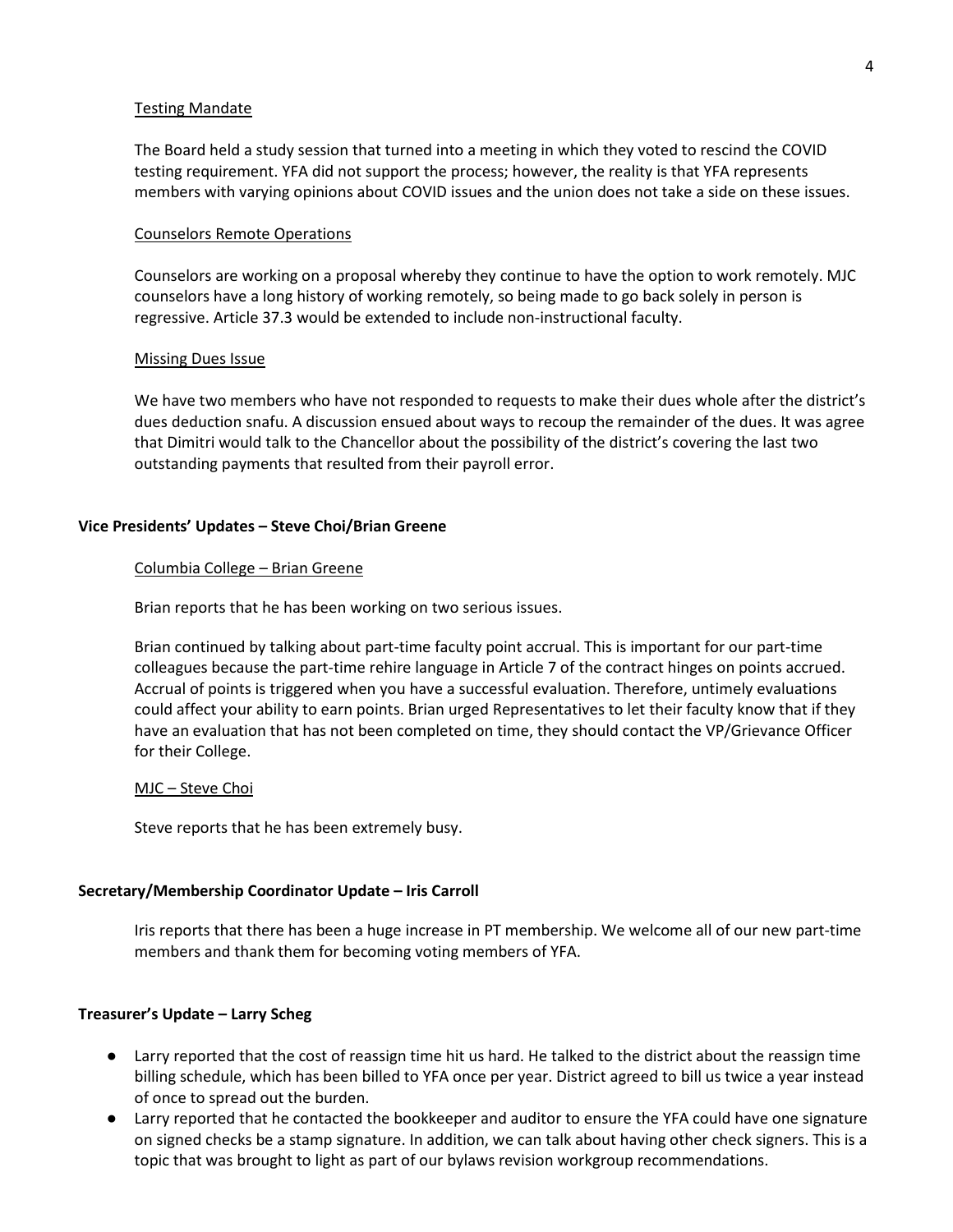#### Testing Mandate

The Board held a study session that turned into a meeting in which they voted to rescind the COVID testing requirement. YFA did not support the process; however, the reality is that YFA represents members with varying opinions about COVID issues and the union does not take a side on these issues.

#### Counselors Remote Operations

Counselors are working on a proposal whereby they continue to have the option to work remotely. MJC counselors have a long history of working remotely, so being made to go back solely in person is regressive. Article 37.3 would be extended to include non-instructional faculty.

#### Missing Dues Issue

We have two members who have not responded to requests to make their dues whole after the district's dues deduction snafu. A discussion ensued about ways to recoup the remainder of the dues. It was agree that Dimitri would talk to the Chancellor about the possibility of the district's covering the last two outstanding payments that resulted from their payroll error.

### **Vice Presidents' Updates – Steve Choi/Brian Greene**

#### Columbia College – Brian Greene

Brian reports that he has been working on two serious issues.

Brian continued by talking about part-time faculty point accrual. This is important for our part-time colleagues because the part-time rehire language in Article 7 of the contract hinges on points accrued. Accrual of points is triggered when you have a successful evaluation. Therefore, untimely evaluations could affect your ability to earn points. Brian urged Representatives to let their faculty know that if they have an evaluation that has not been completed on time, they should contact the VP/Grievance Officer for their College.

#### MJC – Steve Choi

Steve reports that he has been extremely busy.

#### **Secretary/Membership Coordinator Update – Iris Carroll**

Iris reports that there has been a huge increase in PT membership. We welcome all of our new part-time members and thank them for becoming voting members of YFA.

#### **Treasurer's Update – Larry Scheg**

- Larry reported that the cost of reassign time hit us hard. He talked to the district about the reassign time billing schedule, which has been billed to YFA once per year. District agreed to bill us twice a year instead of once to spread out the burden.
- Larry reported that he contacted the bookkeeper and auditor to ensure the YFA could have one signature on signed checks be a stamp signature. In addition, we can talk about having other check signers. This is a topic that was brought to light as part of our bylaws revision workgroup recommendations.